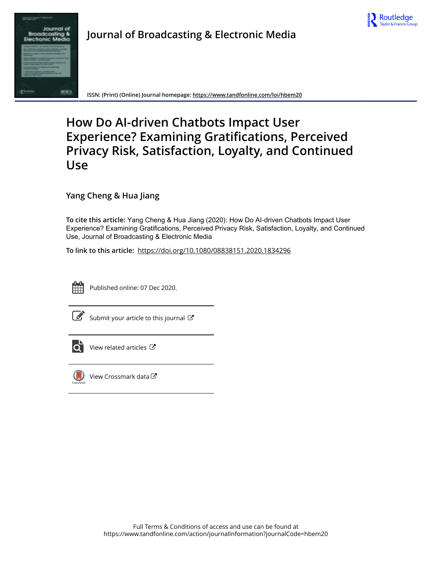

# Journal Broadcas

**Journal of Broadcasting & Electronic Media**

**ISSN: (Print) (Online) Journal homepage:<https://www.tandfonline.com/loi/hbem20>**

# **How Do AI-driven Chatbots Impact User Experience? Examining Gratifications, Perceived Privacy Risk, Satisfaction, Loyalty, and Continued Use**

**Yang Cheng & Hua Jiang**

**To cite this article:** Yang Cheng & Hua Jiang (2020): How Do AI-driven Chatbots Impact User Experience? Examining Gratifications, Perceived Privacy Risk, Satisfaction, Loyalty, and Continued Use, Journal of Broadcasting & Electronic Media

**To link to this article:** <https://doi.org/10.1080/08838151.2020.1834296>



Published online: 07 Dec 2020.

[Submit your article to this journal](https://www.tandfonline.com/action/authorSubmission?journalCode=hbem20&show=instructions)  $\mathbb{Z}$ 



[View related articles](https://www.tandfonline.com/doi/mlt/10.1080/08838151.2020.1834296) C



[View Crossmark data](http://crossmark.crossref.org/dialog/?doi=10.1080/08838151.2020.1834296&domain=pdf&date_stamp=2020-12-07) C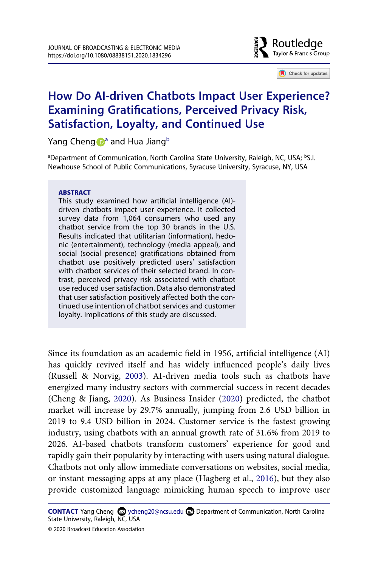

Check for updates

# **How Do AI-driven Chatbots Impact User Experience? Examining Gratifications, Perceived Privacy Risk, Satisfaction, Loyalty, and Continued Use**

Yan[g](http://orcid.org/0000-0002-0321-7956) Cheng [a](#page-1-0)nd Hua Jiang<sup>[b](#page-1-0)</sup>

<span id="page-1-0"></span><sup>a</sup>Department of Communication, North Carolina State University, Raleigh, NC, USA; <sup>b</sup>S.I. Newhouse School of Public Communications, Syracuse University, Syracuse, NY, USA

#### **ABSTRACT**

This study examined how artificial intelligence (AI) driven chatbots impact user experience. It collected survey data from 1,064 consumers who used any chatbot service from the top 30 brands in the U.S. Results indicated that utilitarian (information), hedonic (entertainment), technology (media appeal), and social (social presence) gratifications obtained from chatbot use positively predicted users' satisfaction with chatbot services of their selected brand. In contrast, perceived privacy risk associated with chatbot use reduced user satisfaction. Data also demonstrated that user satisfaction positively affected both the continued use intention of chatbot services and customer loyalty. Implications of this study are discussed.

<span id="page-1-3"></span><span id="page-1-1"></span>Since its foundation as an academic field in 1956, artificial intelligence (AI) has quickly revived itself and has widely influenced people's daily lives (Russell & Norvig, [2003](#page-23-0)). AI-driven media tools such as chatbots have energized many industry sectors with commercial success in recent decades (Cheng & Jiang, [2020](#page-20-0)). As Business Insider ([2020\)](#page-20-1) predicted, the chatbot market will increase by 29.7% annually, jumping from 2.6 USD billion in 2019 to 9.4 USD billion in 2024. Customer service is the fastest growing industry, using chatbots with an annual growth rate of 31.6% from 2019 to 2026. AI-based chatbots transform customers' experience for good and rapidly gain their popularity by interacting with users using natural dialogue. Chatbots not only allow immediate conversations on websites, social media, or instant messaging apps at any place (Hagberg et al., [2016\)](#page-21-0), but they also provide customized language mimicking human speech to improve user

<span id="page-1-2"></span>**CONTACT** Yang Cheng **⊗** ycheng20@ncsu.edu **Department of Communication**, North Carolina State University, Raleigh, NC, USA

<sup>© 2020</sup> Broadcast Education Association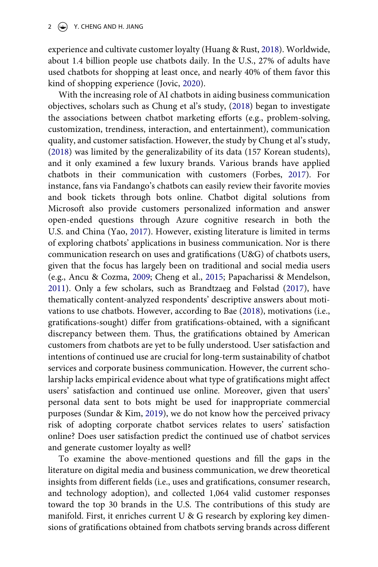<span id="page-2-5"></span>experience and cultivate customer loyalty (Huang & Rust, [2018\)](#page-21-1). Worldwide, about 1.4 billion people use chatbots daily. In the U.S., 27% of adults have used chatbots for shopping at least once, and nearly 40% of them favor this kind of shopping experience (Jovic, [2020\)](#page-22-0).

<span id="page-2-8"></span><span id="page-2-6"></span><span id="page-2-4"></span><span id="page-2-3"></span><span id="page-2-0"></span>With the increasing role of AI chatbots in aiding business communication objectives, scholars such as Chung et al's study, [\(2018](#page-20-2)) began to investigate the associations between chatbot marketing efforts (e.g., problem-solving, customization, trendiness, interaction, and entertainment), communication quality, and customer satisfaction. However, the study by Chung et al's study, ([2018\)](#page-20-2) was limited by the generalizability of its data (157 Korean students), and it only examined a few luxury brands. Various brands have applied chatbots in their communication with customers (Forbes, [2017\)](#page-21-2). For instance, fans via Fandango's chatbots can easily review their favorite movies and book tickets through bots online. Chatbot digital solutions from Microsoft also provide customers personalized information and answer open-ended questions through Azure cognitive research in both the U.S. and China (Yao, [2017\)](#page-23-1). However, existing literature is limited in terms of exploring chatbots' applications in business communication. Nor is there communication research on uses and gratifications (U&G) of chatbots users, given that the focus has largely been on traditional and social media users (e.g., Ancu & Cozma, [2009;](#page-19-0) Cheng et al., [2015](#page-20-3); Papacharissi & Mendelson, [2011](#page-22-1)). Only a few scholars, such as Brandtzaeg and Følstad [\(2017](#page-20-4)), have thematically content-analyzed respondents' descriptive answers about motivations to use chatbots. However, according to Bae [\(2018](#page-20-5)), motivations (i.e., gratifications-sought) differ from gratifications-obtained, with a significant discrepancy between them. Thus, the gratifications obtained by American customers from chatbots are yet to be fully understood. User satisfaction and intentions of continued use are crucial for long-term sustainability of chatbot services and corporate business communication. However, the current scholarship lacks empirical evidence about what type of gratifications might affect users' satisfaction and continued use online. Moreover, given that users' personal data sent to bots might be used for inappropriate commercial purposes (Sundar & Kim, [2019](#page-23-2)), we do not know how the perceived privacy risk of adopting corporate chatbot services relates to users' satisfaction online? Does user satisfaction predict the continued use of chatbot services and generate customer loyalty as well?

<span id="page-2-7"></span><span id="page-2-2"></span><span id="page-2-1"></span>To examine the above-mentioned questions and fill the gaps in the literature on digital media and business communication, we drew theoretical insights from different fields (i.e., uses and gratifications, consumer research, and technology adoption), and collected 1,064 valid customer responses toward the top 30 brands in the U.S. The contributions of this study are manifold. First, it enriches current U & G research by exploring key dimensions of gratifications obtained from chatbots serving brands across different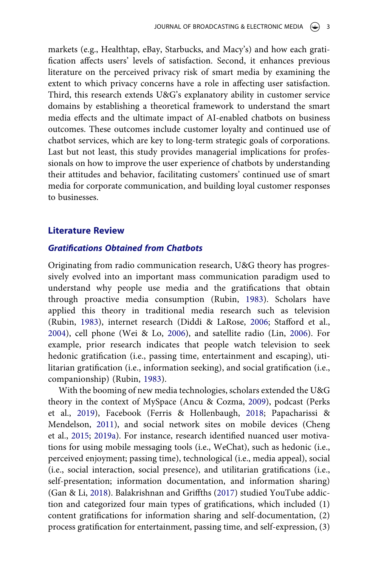markets (e.g., Healthtap, eBay, Starbucks, and Macy's) and how each gratification affects users' levels of satisfaction. Second, it enhances previous literature on the perceived privacy risk of smart media by examining the extent to which privacy concerns have a role in affecting user satisfaction. Third, this research extends U&G's explanatory ability in customer service domains by establishing a theoretical framework to understand the smart media effects and the ultimate impact of AI-enabled chatbots on business outcomes. These outcomes include customer loyalty and continued use of chatbot services, which are key to long-term strategic goals of corporations. Last but not least, this study provides managerial implications for professionals on how to improve the user experience of chatbots by understanding their attitudes and behavior, facilitating customers' continued use of smart media for corporate communication, and building loyal customer responses to businesses.

#### **Literature Review**

# *Gratifications Obtained from Chatbots*

<span id="page-3-2"></span>Originating from radio communication research, U&G theory has progressively evolved into an important mass communication paradigm used to understand why people use media and the gratifications that obtain through proactive media consumption (Rubin, [1983\)](#page-23-3). Scholars have applied this theory in traditional media research such as television (Rubin, [1983](#page-23-3)), internet research (Diddi & LaRose, [2006](#page-20-6); Stafford et al., [2004](#page-23-4)), cell phone (Wei & Lo, [2006\)](#page-23-5), and satellite radio (Lin, [2006\)](#page-22-2). For example, prior research indicates that people watch television to seek hedonic gratification (i.e., passing time, entertainment and escaping), utilitarian gratification (i.e., information seeking), and social gratification (i.e., companionship) (Rubin, [1983](#page-23-3)).

<span id="page-3-5"></span><span id="page-3-4"></span><span id="page-3-3"></span><span id="page-3-1"></span><span id="page-3-0"></span>With the booming of new media technologies, scholars extended the U&G theory in the context of MySpace (Ancu & Cozma, [2009\)](#page-19-0), podcast (Perks et al., [2019](#page-23-6)), Facebook (Ferris & Hollenbaugh, [2018](#page-21-3); Papacharissi & Mendelson, [2011](#page-22-1)), and social network sites on mobile devices (Cheng et al., [2015;](#page-20-3) [2019a](#page-20-7)). For instance, research identified nuanced user motivations for using mobile messaging tools (i.e., WeChat), such as hedonic (i.e., perceived enjoyment; passing time), technological (i.e., media appeal), social (i.e., social interaction, social presence), and utilitarian gratifications (i.e., self-presentation; information documentation, and information sharing) (Gan & Li, [2018](#page-21-4)). Balakrishnan and Griffths ([2017](#page-20-8)) studied YouTube addiction and categorized four main types of gratifications, which included (1) content gratifications for information sharing and self-documentation, (2) process gratification for entertainment, passing time, and self-expression, (3)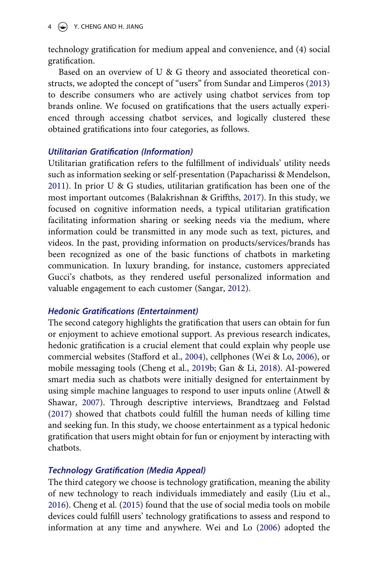$4 \quad (*)$  Y. CHENG AND H. JIANG

technology gratification for medium appeal and convenience, and (4) social gratification.

<span id="page-4-4"></span>Based on an overview of U & G theory and associated theoretical constructs, we adopted the concept of "users" from Sundar and Limperos [\(2013](#page-23-7)) to describe consumers who are actively using chatbot services from top brands online. We focused on gratifications that the users actually experienced through accessing chatbot services, and logically clustered these obtained gratifications into four categories, as follows.

# *Utilitarian Gratification (Information)*

Utilitarian gratification refers to the fulfillment of individuals' utility needs such as information seeking or self-presentation (Papacharissi & Mendelson, [2011](#page-22-1)). In prior U & G studies, utilitarian gratification has been one of the most important outcomes (Balakrishnan & Griffths, [2017](#page-20-8)). In this study, we focused on cognitive information needs, a typical utilitarian gratification facilitating information sharing or seeking needs via the medium, where information could be transmitted in any mode such as text, pictures, and videos. In the past, providing information on products/services/brands has been recognized as one of the basic functions of chatbots in marketing communication. In luxury branding, for instance, customers appreciated Gucci's chatbots, as they rendered useful personalized information and valuable engagement to each customer (Sangar, [2012](#page-23-8)).

# <span id="page-4-3"></span>*Hedonic Gratifications (Entertainment)*

<span id="page-4-1"></span>The second category highlights the gratification that users can obtain for fun or enjoyment to achieve emotional support. As previous research indicates, hedonic gratification is a crucial element that could explain why people use commercial websites (Stafford et al., [2004](#page-23-4)), cellphones (Wei & Lo, [2006\)](#page-23-5), or mobile messaging tools (Cheng et al., [2019b;](#page-20-9) Gan & Li, [2018\)](#page-21-4). AI-powered smart media such as chatbots were initially designed for entertainment by using simple machine languages to respond to user inputs online (Atwell & Shawar, [2007\)](#page-19-1). Through descriptive interviews, Brandtzaeg and Følstad ([2017\)](#page-20-4) showed that chatbots could fulfill the human needs of killing time and seeking fun. In this study, we choose entertainment as a typical hedonic gratification that users might obtain for fun or enjoyment by interacting with chatbots.

# <span id="page-4-0"></span>*Technology Gratification (Media Appeal)*

<span id="page-4-2"></span>The third category we choose is technology gratification, meaning the ability of new technology to reach individuals immediately and easily (Liu et al., [2016](#page-22-3)). Cheng et al. ([2015](#page-20-3)) found that the use of social media tools on mobile devices could fulfill users' technology gratifications to assess and respond to information at any time and anywhere. Wei and Lo ([2006\)](#page-23-5) adopted the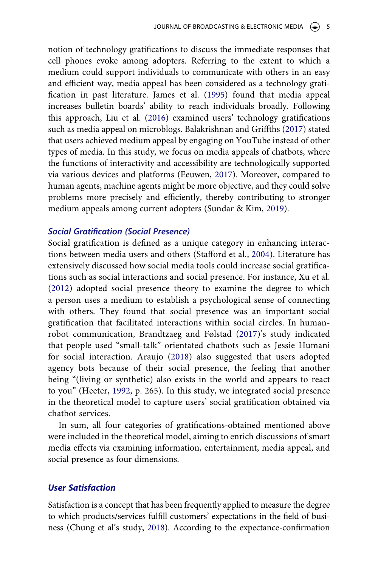<span id="page-5-3"></span>notion of technology gratifications to discuss the immediate responses that cell phones evoke among adopters. Referring to the extent to which a medium could support individuals to communicate with others in an easy and efficient way, media appeal has been considered as a technology gratification in past literature. James et al. ([1995\)](#page-22-4) found that media appeal increases bulletin boards' ability to reach individuals broadly. Following this approach, Liu et al. [\(2016](#page-22-3)) examined users' technology gratifications such as media appeal on microblogs. Balakrishnan and Griffths [\(2017](#page-20-8)) stated that users achieved medium appeal by engaging on YouTube instead of other types of media. In this study, we focus on media appeals of chatbots, where the functions of interactivity and accessibility are technologically supported via various devices and platforms (Eeuwen, [2017\)](#page-20-10). Moreover, compared to human agents, machine agents might be more objective, and they could solve problems more precisely and efficiently, thereby contributing to stronger medium appeals among current adopters (Sundar & Kim, [2019\)](#page-23-2).

# <span id="page-5-1"></span>*Social Gratification (Social Presence)*

<span id="page-5-4"></span>Social gratification is defined as a unique category in enhancing interactions between media users and others (Stafford et al., [2004](#page-23-4)). Literature has extensively discussed how social media tools could increase social gratifications such as social interactions and social presence. For instance, Xu et al. ([2012](#page-23-9)) adopted social presence theory to examine the degree to which a person uses a medium to establish a psychological sense of connecting with others. They found that social presence was an important social gratification that facilitated interactions within social circles. In humanrobot communication, Brandtzaeg and Følstad [\(2017](#page-20-4))'s study indicated that people used "small-talk" orientated chatbots such as Jessie Humani for social interaction. Araujo [\(2018\)](#page-19-2) also suggested that users adopted agency bots because of their social presence, the feeling that another being "(living or synthetic) also exists in the world and appears to react to you" (Heeter, [1992,](#page-21-5) p. 265). In this study, we integrated social presence in the theoretical model to capture users' social gratification obtained via chatbot services.

<span id="page-5-2"></span><span id="page-5-0"></span>In sum, all four categories of gratifications-obtained mentioned above were included in the theoretical model, aiming to enrich discussions of smart media effects via examining information, entertainment, media appeal, and social presence as four dimensions.

# *User Satisfaction*

Satisfaction is a concept that has been frequently applied to measure the degree to which products/services fulfill customers' expectations in the field of business (Chung et al's study, [2018](#page-20-2)). According to the expectance-confirmation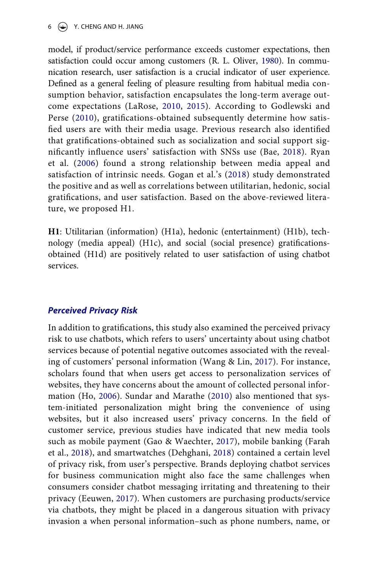$6 \leftrightarrow$  Y. CHENG AND H. JIANG

<span id="page-6-6"></span><span id="page-6-5"></span><span id="page-6-2"></span>model, if product/service performance exceeds customer expectations, then satisfaction could occur among customers (R. L. Oliver, [1980](#page-22-5)). In communication research, user satisfaction is a crucial indicator of user experience. Defined as a general feeling of pleasure resulting from habitual media consumption behavior, satisfaction encapsulates the long-term average outcome expectations (LaRose, [2010](#page-22-6), [2015\)](#page-22-7). According to Godlewski and Perse ([2010](#page-21-6)), gratifications-obtained subsequently determine how satisfied users are with their media usage. Previous research also identified that gratifications-obtained such as socialization and social support significantly influence users' satisfaction with SNSs use (Bae, [2018](#page-20-5)). Ryan et al. ([2006\)](#page-23-10) found a strong relationship between media appeal and satisfaction of intrinsic needs. Gogan et al.'s ([2018\)](#page-21-7) study demonstrated the positive and as well as correlations between utilitarian, hedonic, social gratifications, and user satisfaction. Based on the above-reviewed literature, we proposed H1.

<span id="page-6-7"></span><span id="page-6-3"></span>**H1**: Utilitarian (information) (H1a), hedonic (entertainment) (H1b), technology (media appeal) (H1c), and social (social presence) gratificationsobtained (H1d) are positively related to user satisfaction of using chatbot services.

#### *Perceived Privacy Risk*

<span id="page-6-8"></span><span id="page-6-4"></span><span id="page-6-1"></span><span id="page-6-0"></span>In addition to gratifications, this study also examined the perceived privacy risk to use chatbots, which refers to users' uncertainty about using chatbot services because of potential negative outcomes associated with the revealing of customers' personal information (Wang & Lin, [2017\)](#page-23-11). For instance, scholars found that when users get access to personalization services of websites, they have concerns about the amount of collected personal information (Ho, [2006](#page-21-8)). Sundar and Marathe [\(2010\)](#page-23-12) also mentioned that system-initiated personalization might bring the convenience of using websites, but it also increased users' privacy concerns. In the field of customer service, previous studies have indicated that new media tools such as mobile payment (Gao & Waechter, [2017\)](#page-21-9), mobile banking (Farah et al., [2018\)](#page-21-10), and smartwatches (Dehghani, [2018](#page-20-11)) contained a certain level of privacy risk, from user's perspective. Brands deploying chatbot services for business communication might also face the same challenges when consumers consider chatbot messaging irritating and threatening to their privacy (Eeuwen, [2017](#page-20-10)). When customers are purchasing products/service via chatbots, they might be placed in a dangerous situation with privacy invasion a when personal information–such as phone numbers, name, or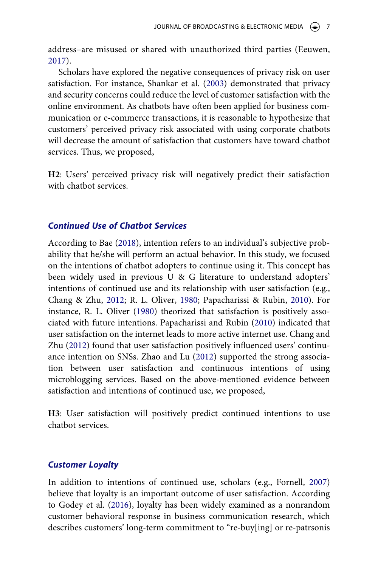address–are misused or shared with unauthorized third parties (Eeuwen, [2017](#page-20-10)).

<span id="page-7-4"></span>Scholars have explored the negative consequences of privacy risk on user satisfaction. For instance, Shankar et al. ([2003\)](#page-23-13) demonstrated that privacy and security concerns could reduce the level of customer satisfaction with the online environment. As chatbots have often been applied for business communication or e-commerce transactions, it is reasonable to hypothesize that customers' perceived privacy risk associated with using corporate chatbots will decrease the amount of satisfaction that customers have toward chatbot services. Thus, we proposed,

**H2**: Users' perceived privacy risk will negatively predict their satisfaction with chatbot services.

# *Continued Use of Chatbot Services*

<span id="page-7-3"></span>According to Bae [\(2018](#page-20-5)), intention refers to an individual's subjective probability that he/she will perform an actual behavior. In this study, we focused on the intentions of chatbot adopters to continue using it. This concept has been widely used in previous U & G literature to understand adopters' intentions of continued use and its relationship with user satisfaction (e.g., Chang & Zhu, [2012;](#page-20-12) R. L. Oliver, [1980;](#page-22-5) Papacharissi & Rubin, [2010](#page-22-8)). For instance, R. L. Oliver ([1980](#page-22-5)) theorized that satisfaction is positively associated with future intentions. Papacharissi and Rubin ([2010](#page-22-8)) indicated that user satisfaction on the internet leads to more active internet use. Chang and Zhu ([2012\)](#page-20-12) found that user satisfaction positively influenced users' continuance intention on SNSs. Zhao and Lu ([2012\)](#page-23-14) supported the strong association between user satisfaction and continuous intentions of using microblogging services. Based on the above-mentioned evidence between satisfaction and intentions of continued use, we proposed,

<span id="page-7-5"></span><span id="page-7-0"></span>**H3**: User satisfaction will positively predict continued intentions to use chatbot services.

### *Customer Loyalty*

<span id="page-7-2"></span><span id="page-7-1"></span>In addition to intentions of continued use, scholars (e.g., Fornell, [2007](#page-21-11)) believe that loyalty is an important outcome of user satisfaction. According to Godey et al. ([2016](#page-21-12)), loyalty has been widely examined as a nonrandom customer behavioral response in business communication research, which describes customers' long-term commitment to "re-buy[ing] or re-patrsonis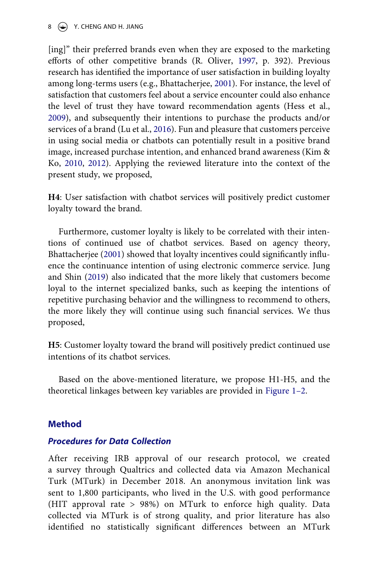$8 \quad (*)$  Y. CHENG AND H. JIANG

<span id="page-8-5"></span><span id="page-8-1"></span>[ing]" their preferred brands even when they are exposed to the marketing efforts of other competitive brands (R. Oliver, [1997](#page-22-9), p. 392). Previous research has identified the importance of user satisfaction in building loyalty among long-terms users (e.g., Bhattacherjee, [2001](#page-20-13)). For instance, the level of satisfaction that customers feel about a service encounter could also enhance the level of trust they have toward recommendation agents (Hess et al., [2009](#page-21-13)), and subsequently their intentions to purchase the products and/or services of a brand (Lu et al., [2016\)](#page-22-10). Fun and pleasure that customers perceive in using social media or chatbots can potentially result in a positive brand image, increased purchase intention, and enhanced brand awareness (Kim & Ko, [2010](#page-22-11), [2012\)](#page-22-12). Applying the reviewed literature into the context of the present study, we proposed,

<span id="page-8-4"></span><span id="page-8-3"></span>**H4**: User satisfaction with chatbot services will positively predict customer loyalty toward the brand.

<span id="page-8-2"></span><span id="page-8-0"></span>Furthermore, customer loyalty is likely to be correlated with their intentions of continued use of chatbot services. Based on agency theory, Bhattacherjee [\(2001\)](#page-20-13) showed that loyalty incentives could significantly influence the continuance intention of using electronic commerce service. Jung and Shin [\(2019](#page-22-13)) also indicated that the more likely that customers become loyal to the internet specialized banks, such as keeping the intentions of repetitive purchasing behavior and the willingness to recommend to others, the more likely they will continue using such financial services. We thus proposed,

**H5**: Customer loyalty toward the brand will positively predict continued use intentions of its chatbot services.

Based on the above-mentioned literature, we propose H1-H5, and the theoretical linkages between key variables are provided in [Figure 1–2](#page-9-0).

# **Method**

# *Procedures for Data Collection*

After receiving IRB approval of our research protocol, we created a survey through Qualtrics and collected data via Amazon Mechanical Turk (MTurk) in December 2018. An anonymous invitation link was sent to 1,800 participants, who lived in the U.S. with good performance (HIT approval rate > 98%) on MTurk to enforce high quality. Data collected via MTurk is of strong quality, and prior literature has also identified no statistically significant differences between an MTurk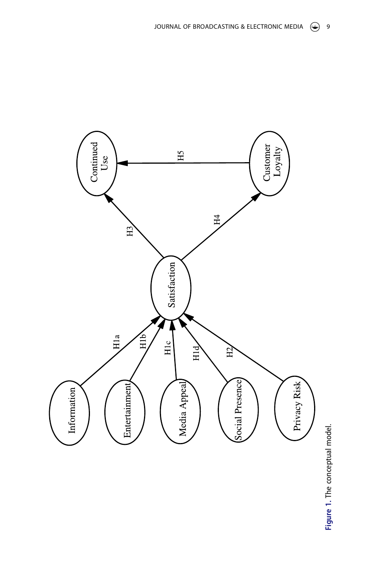<span id="page-9-0"></span>

Figure 1. The conceptual model. **Figure 1.** The conceptual model.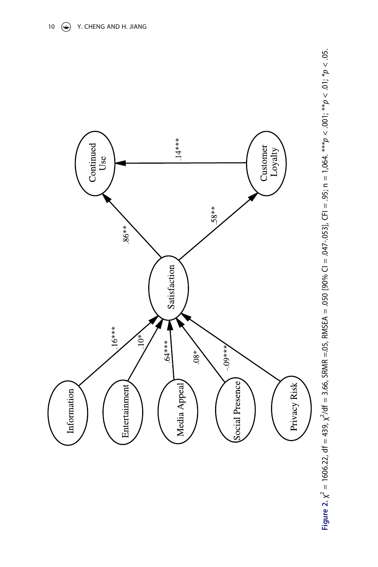

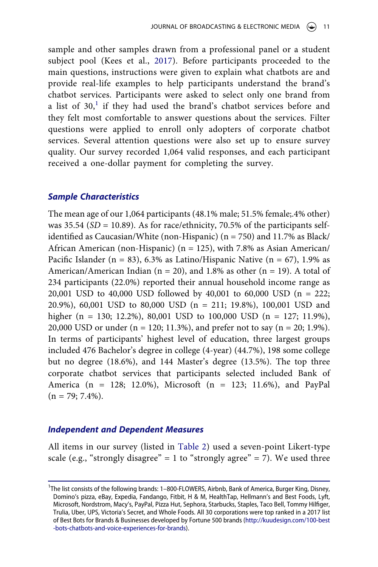<span id="page-11-1"></span>sample and other samples drawn from a professional panel or a student subject pool (Kees et al., [2017\)](#page-22-14). Before participants proceeded to the main questions, instructions were given to explain what chatbots are and provide real-life examples to help participants understand the brand's chatbot services. Participants were asked to select only one brand from a list of  $30<sup>1</sup>$  if they had used the brand's chatbot services before and they felt most comfortable to answer questions about the services. Filter questions were applied to enroll only adopters of corporate chatbot services. Several attention questions were also set up to ensure survey quality. Our survey recorded 1,064 valid responses, and each participant received a one-dollar payment for completing the survey.

# *Sample Characteristics*

The mean age of our 1,064 participants (48.1% male; 51.5% female;.4% other) was  $35.54$  (*SD* = 10.89). As for race/ethnicity, 70.5% of the participants selfidentified as Caucasian/White (non-Hispanic) (n = 750) and 11.7% as Black/ African American (non-Hispanic) ( $n = 125$ ), with 7.8% as Asian American/ Pacific Islander (n = 83), 6.3% as Latino/Hispanic Native (n = 67), 1.9% as American/American Indian ( $n = 20$ ), and 1.8% as other ( $n = 19$ ). A total of 234 participants (22.0%) reported their annual household income range as 20,001 USD to 40,000 USD followed by 40,001 to 60,000 USD (n = 222; 20.9%), 60,001 USD to 80,000 USD (n = 211; 19.8%), 100,001 USD and higher (n = 130; 12.2%), 80,001 USD to 100,000 USD (n = 127; 11.9%), 20,000 USD or under (n = 120; 11.3%), and prefer not to say (n = 20; 1.9%). In terms of participants' highest level of education, three largest groups included 476 Bachelor's degree in college (4-year) (44.7%), 198 some college but no degree (18.6%), and 144 Master's degree (13.5%). The top three corporate chatbot services that participants selected included Bank of America (n = 128; 12.0%), Microsoft (n = 123; 11.6%), and PayPal  $(n = 79; 7.4\%).$ 

# *Independent and Dependent Measures*

All items in our survey (listed in [Table 2\)](#page-14-0) used a seven-point Likert-type scale (e.g., "strongly disagree" = 1 to "strongly agree" = 7). We used three

<span id="page-11-0"></span><sup>&</sup>lt;sup>1</sup>The list consists of the following brands: 1-800-FLOWERS, Airbnb, Bank of America, Burger King, Disney, Domino's pizza, eBay, Expedia, Fandango, Fitbit, H & M, HealthTap, Hellmann's and Best Foods, Lyft, Microsoft, Nordstrom, Macy's, PayPal, Pizza Hut, Sephora, Starbucks, Staples, Taco Bell, Tommy Hilfiger, Trulia, Uber, UPS, Victoria's Secret, and Whole Foods. All 30 corporations were top ranked in a 2017 list of Best Bots for Brands & Businesses developed by Fortune 500 brands [\(http://kuudesign.com/100-best](http://kuudesign.com/100-best-bots-chatbots-and-voice-experiences-for-brands) [-bots-chatbots-and-voice-experiences-for-brands](http://kuudesign.com/100-best-bots-chatbots-and-voice-experiences-for-brands)).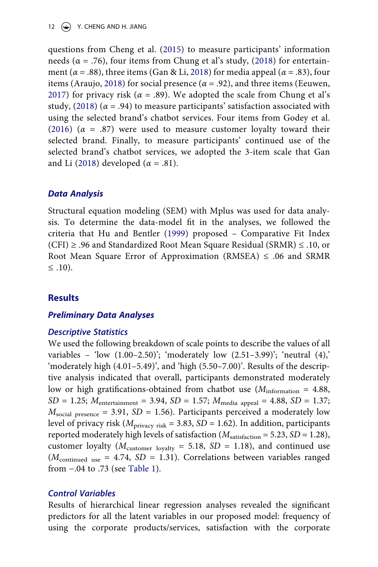12  $\left(\rightarrow\right)$  Y. CHENG AND H. JIANG

questions from Cheng et al. [\(2015\)](#page-20-3) to measure participants' information needs ( $\alpha$  = .76), four items from Chung et al's study, [\(2018\)](#page-20-2) for entertainment ( $\alpha$  = .88), three items (Gan & Li, [2018](#page-21-4)) for media appeal ( $\alpha$  = .83), four items (Araujo, [2018\)](#page-19-2) for social presence ( $\alpha$  = .92), and three items (Eeuwen, [2017](#page-20-10)) for privacy risk ( $\alpha = .89$ ). We adopted the scale from Chung et al's study,  $(2018)$  ( $\alpha$  = .94) to measure participants' satisfaction associated with using the selected brand's chatbot services. Four items from Godey et al. ([2016](#page-21-12))  $(\alpha = .87)$  were used to measure customer loyalty toward their selected brand. Finally, to measure participants' continued use of the selected brand's chatbot services, we adopted the 3-item scale that Gan and Li [\(2018\)](#page-21-4) developed  $(\alpha = .81)$ .

# *Data Analysis*

<span id="page-12-0"></span>Structural equation modeling (SEM) with Mplus was used for data analysis. To determine the data-model fit in the analyses, we followed the criteria that Hu and Bentler [\(1999\)](#page-21-14) proposed – Comparative Fit Index (CFI) ≥ .96 and Standardized Root Mean Square Residual (SRMR) ≤ .10, or Root Mean Square Error of Approximation (RMSEA)  $\leq$  .06 and SRMR ≤ .10).

# **Results**

# *Preliminary Data Analyses*

# *Descriptive Statistics*

We used the following breakdown of scale points to describe the values of all variables – 'low  $(1.00-2.50)$ '; 'moderately low  $(2.51-3.99)$ '; 'neutral  $(4)$ ,' 'moderately high (4.01–5.49)', and 'high (5.50–7.00)'. Results of the descriptive analysis indicated that overall, participants demonstrated moderately low or high gratifications-obtained from chatbot use ( $M<sub>information</sub> = 4.88$ ,  $SD = 1.25$ ;  $M_{\text{entertainment}} = 3.94$ ,  $SD = 1.57$ ;  $M_{\text{median}} = 4.88$ ,  $SD = 1.37$ ;  $M_{\text{social presence}} = 3.91, SD = 1.56$ . Participants perceived a moderately low level of privacy risk (*M*privacy risk = 3.83, *SD* = 1.62). In addition, participants reported moderately high levels of satisfaction  $(M_{\text{satistaction}} = 5.23, SD = 1.28)$ , customer loyalty ( $M_{\text{customer lovalty}} = 5.18$ ,  $SD = 1.18$ ), and continued use (*M*continued use = 4.74, *SD* = 1.31). Correlations between variables ranged from −.04 to .73 (see [Table 1](#page-13-0)).

# *Control Variables*

Results of hierarchical linear regression analyses revealed the significant predictors for all the latent variables in our proposed model: frequency of using the corporate products/services, satisfaction with the corporate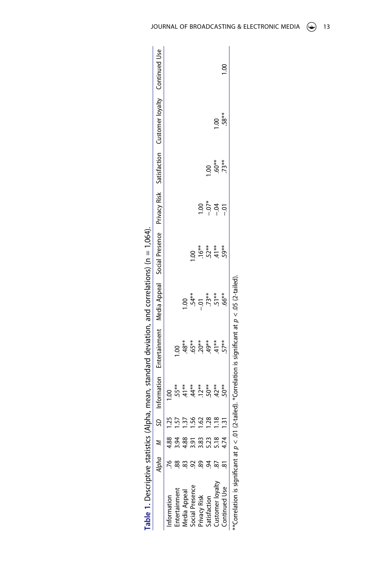<span id="page-13-0"></span>

| Table 1. Descriptive statistics |                      |                |                                               |                                                                                                         |                                                    | (Alpha, mean, standard deviation, and correlations) ( $n = 1,064$ ). |         |                                                 |                                                                                                     |  |
|---------------------------------|----------------------|----------------|-----------------------------------------------|---------------------------------------------------------------------------------------------------------|----------------------------------------------------|----------------------------------------------------------------------|---------|-------------------------------------------------|-----------------------------------------------------------------------------------------------------|--|
|                                 |                      |                | Information                                   |                                                                                                         |                                                    |                                                                      |         |                                                 | Entertainment Media Appeal Social Presence Privacy Risk Satisfaction Customer loyalty Continued Use |  |
|                                 | 4.88                 |                | $\frac{8}{10}$                                |                                                                                                         |                                                    |                                                                      |         |                                                 |                                                                                                     |  |
| ntertainment                    | 0.94                 |                |                                               | S.                                                                                                      |                                                    |                                                                      |         |                                                 |                                                                                                     |  |
| <b>Nedia Appeal</b>             | 4.88                 | $\ddot{3}$     |                                               |                                                                                                         | $\overline{00}$                                    |                                                                      |         |                                                 |                                                                                                     |  |
| ocial Presence                  |                      | $\frac{56}{2}$ |                                               |                                                                                                         |                                                    | S                                                                    |         |                                                 |                                                                                                     |  |
| rivacy Risk                     | 3.83<br>3.83         | 1.62           | * * * * * * *<br>5 = 4 0 0 0<br>5 = 4 0 0 0 0 |                                                                                                         | $54**$<br>$-01**$<br>$-73**$<br>$-51**$<br>$-66**$ |                                                                      | 00.1    |                                                 |                                                                                                     |  |
| satisfaction                    | $\tilde{\mathbf{z}}$ | $\frac{28}{2}$ |                                               |                                                                                                         |                                                    |                                                                      | $-0.04$ |                                                 |                                                                                                     |  |
| ustomer loyalty                 | $\frac{8}{18}$       | $\frac{8}{10}$ |                                               |                                                                                                         |                                                    | $16**$<br>$57**$<br>$45**$                                           |         | $\frac{1}{3}$<br>$\frac{6}{3}$<br>$\frac{3}{2}$ | $\frac{8}{1}$                                                                                       |  |
| Continued Use                   | 4.74                 |                |                                               |                                                                                                         |                                                    |                                                                      |         |                                                 | $.58*$                                                                                              |  |
|                                 |                      |                |                                               | Correlation is significant at $p < .01$ (2-tailed). *Correlation is significant at $p < .05$ (2-tailed) |                                                    |                                                                      |         |                                                 |                                                                                                     |  |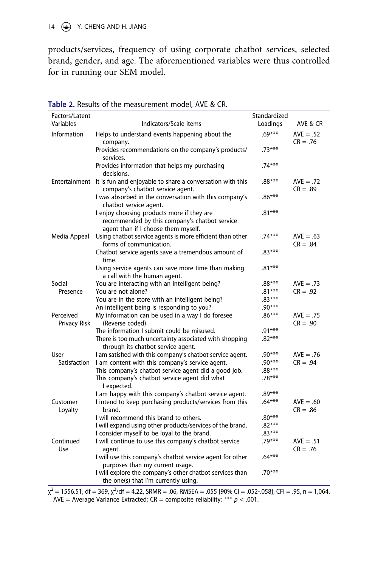products/services, frequency of using corporate chatbot services, selected brand, gender, and age. The aforementioned variables were thus controlled for in running our SEM model.

| Factors/Latent            |                                                                                                                                    | Standardized |                           |
|---------------------------|------------------------------------------------------------------------------------------------------------------------------------|--------------|---------------------------|
| Variables                 | Indicators/Scale items                                                                                                             | Loadings     | AVE & CR                  |
| Information               | Helps to understand events happening about the<br>company.                                                                         | $.69***$     | $AVE = .52$<br>$CR = .76$ |
|                           | Provides recommendations on the company's products/<br>services.                                                                   | $.73***$     |                           |
|                           | Provides information that helps my purchasing<br>decisions.                                                                        | $.74***$     |                           |
|                           | Entertainment It is fun and enjoyable to share a conversation with this<br>company's chatbot service agent.                        | $.88***$     | $AVE = .72$<br>$CR = .89$ |
|                           | I was absorbed in the conversation with this company's<br>chatbot service agent.                                                   | $.86***$     |                           |
|                           | I enjoy choosing products more if they are<br>recommended by this company's chatbot service<br>agent than if I choose them myself. | $.81***$     |                           |
| Media Appeal              | Using chatbot service agents is more efficient than other<br>forms of communication.                                               | $.74***$     | $AVE = .63$<br>$CR = .84$ |
|                           | Chatbot service agents save a tremendous amount of<br>time.                                                                        | $.83***$     |                           |
|                           | Using service agents can save more time than making<br>a call with the human agent.                                                | $.81***$     |                           |
| Social                    | You are interacting with an intelligent being?                                                                                     | $.88***$     | $AVE = .73$               |
| Presence                  | You are not alone?                                                                                                                 | .81***       | $CR = .92$                |
|                           | You are in the store with an intelligent being?                                                                                    | $.83***$     |                           |
|                           | An intelligent being is responding to you?                                                                                         | $.90***$     |                           |
| Perceived<br>Privacy Risk | My information can be used in a way I do foresee<br>(Reverse coded).                                                               | $.86***$     | $AVE = .75$<br>$CR = .90$ |
|                           | The information I submit could be misused.                                                                                         | .91***       |                           |
|                           | There is too much uncertainty associated with shopping<br>through its chatbot service agent.                                       | $.82***$     |                           |
| User                      | I am satisfied with this company's chatbot service agent.                                                                          | .90***       | $AVE = .76$               |
| Satisfaction              | I am content with this company's service agent.                                                                                    | $.90***$     | $CR = .94$                |
|                           | This company's chatbot service agent did a good job.                                                                               | $.88***$     |                           |
|                           | This company's chatbot service agent did what<br>I expected.                                                                       | $.78***$     |                           |
|                           | I am happy with this company's chatbot service agent.                                                                              | $.89***$     |                           |
| Customer<br>Loyalty       | I intend to keep purchasing products/services from this<br>brand.                                                                  | $.64***$     | $AVE = .60$<br>$CR = .86$ |
|                           | I will recommend this brand to others.                                                                                             | $.80***$     |                           |
|                           | I will expand using other products/services of the brand.                                                                          | $.82***$     |                           |
|                           | I consider myself to be loyal to the brand.                                                                                        | $.83***$     |                           |
| Continued<br>Use          | I will continue to use this company's chatbot service<br>agent.                                                                    | .79***       | $AVE = .51$<br>$CR = .76$ |
|                           | I will use this company's chatbot service agent for other<br>purposes than my current usage.                                       | $.64***$     |                           |
|                           | I will explore the company's other chatbot services than<br>the one(s) that I'm currently using.                                   | $.70***$     |                           |

<span id="page-14-0"></span>

| Table 2. Results of the measurement model, AVE & CR. |  |  |  |
|------------------------------------------------------|--|--|--|
|------------------------------------------------------|--|--|--|

 $\chi^2$  = 1556.51, df = 369,  $\chi^2$ /df = 4.22, SRMR = .06, RMSEA = .055 [90% CI = .052-.058], CFI = .95, n = 1,064. AVE = Average Variance Extracted;  $CR =$  composite reliability; \*\*\*  $p < .001$ .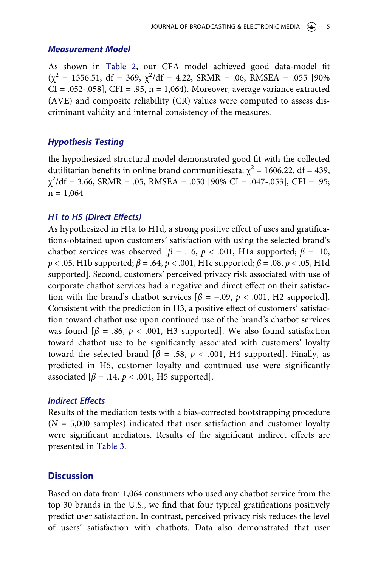#### *Measurement Model*

As shown in [Table 2](#page-14-0), our CFA model achieved good data-model fit  $(\chi^2 = 1556.51, df = 369, \chi^2/df = 4.22, SRMR = .06, RMSEA = .055 [90\%]$  $CI = .052-.058$ ,  $CFI = .95$ ,  $n = 1,064$ . Moreover, average variance extracted (AVE) and composite reliability (CR) values were computed to assess discriminant validity and internal consistency of the measures.

# *Hypothesis Testing*

the hypothesized structural model demonstrated good fit with the collected dutilitarian benefits in online brand communitiesata:  $\chi^2$  = 1606.22, df = 439,  $\chi^2$ /df = 3.66, SRMR = .05, RMSEA = .050 [90% CI = .047-.053], CFI = .95;  $n = 1,064$ 

#### *H1 to H5 (Direct Effects)*

As hypothesized in H1a to H1d, a strong positive effect of uses and gratifications-obtained upon customers' satisfaction with using the selected brand's chatbot services was observed [ $β = .16, p < .001$ , H1a supported;  $β = .10$ , *p* < .05, H1b supported; *β* = .64, *p* < .001, H1c supported; *β* = .08, *p* < .05, H1d supported]. Second, customers' perceived privacy risk associated with use of corporate chatbot services had a negative and direct effect on their satisfaction with the brand's chatbot services  $\beta$  = -.09, *p* < .001, H2 supported]. Consistent with the prediction in H3, a positive effect of customers' satisfaction toward chatbot use upon continued use of the brand's chatbot services was found  $\beta = .86$ ,  $p < .001$ , H3 supported]. We also found satisfaction toward chatbot use to be significantly associated with customers' loyalty toward the selected brand  $\beta = .58$ ,  $p < .001$ , H4 supported]. Finally, as predicted in H5, customer loyalty and continued use were significantly associated  $[\beta = .14, p < .001, H5$  supported].

# *Indirect Effects*

Results of the mediation tests with a bias-corrected bootstrapping procedure  $(N = 5,000$  samples) indicated that user satisfaction and customer loyalty were significant mediators. Results of the significant indirect effects are presented in [Table 3](#page-16-0).

# **Discussion**

Based on data from 1,064 consumers who used any chatbot service from the top 30 brands in the U.S., we find that four typical gratifications positively predict user satisfaction. In contrast, perceived privacy risk reduces the level of users' satisfaction with chatbots. Data also demonstrated that user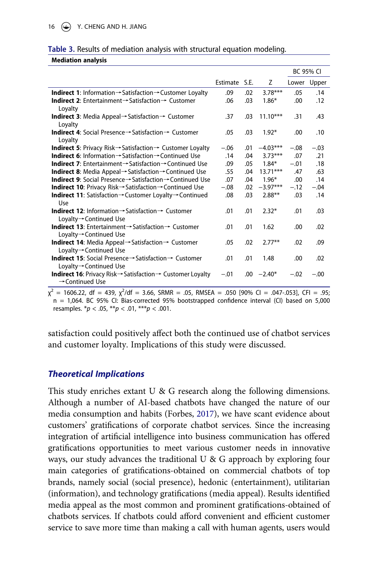<span id="page-16-0"></span>

| Table 3. Results of mediation analysis with structural equation modeling. |  |  |  |  |  |  |  |  |  |
|---------------------------------------------------------------------------|--|--|--|--|--|--|--|--|--|
|---------------------------------------------------------------------------|--|--|--|--|--|--|--|--|--|

**Mediation analysis**

|                                                                                                                           |          |      |            |        | <b>BC 95% CI</b> |
|---------------------------------------------------------------------------------------------------------------------------|----------|------|------------|--------|------------------|
|                                                                                                                           | Estimate | S.E. | Z          | Lower  | Upper            |
| <b>Indirect 1:</b> Information $\rightarrow$ Satisfaction $\rightarrow$ Customer Loyalty                                  | .09      | .02  | $3.78***$  | .05    | .14              |
| <b>Indirect 2:</b> Entertainment $\rightarrow$ Satisfaction $\rightarrow$ Customer<br>Loyalty                             | .06      | .03  | $1.86*$    | .00    | .12              |
| <b>Indirect 3:</b> Media Appeal $\rightarrow$ Satisfaction $\rightarrow$ Customer<br>Loyalty                              | .37      | .03  | $11.10***$ | .31    | .43              |
| <b>Indirect 4:</b> Social Presence→Satisfaction→ Customer<br>Loyalty                                                      | .05      | .03  | $1.92*$    | .00    | .10              |
| <b>Indirect 5:</b> Privacy Risk $\rightarrow$ Satisfaction $\rightarrow$ Customer Loyalty                                 | $-.06$   | .01  | $-4.03***$ | $-.08$ | $-.03$           |
| <b>Indirect 6:</b> Information $\rightarrow$ Satisfaction $\rightarrow$ Continued Use                                     | .14      | .04  | $3.73***$  | .07    | .21              |
| <b>Indirect 7:</b> Entertainment $\rightarrow$ Satisfaction $\rightarrow$ Continued Use                                   | .09      | .05  | $1.84*$    | $-.01$ | .18              |
| <b>Indirect 8:</b> Media Appeal $\rightarrow$ Satisfaction $\rightarrow$ Continued Use                                    | .55      | .04  | $13.71***$ | .47    | .63              |
| <b>Indirect 9:</b> Social Presence→Satisfaction→Continued Use                                                             | .07      | .04  | $1.96*$    | .00    | .14              |
| <b>Indirect 10</b> : Privacy Risk $\rightarrow$ Satisfaction $\rightarrow$ Continued Use                                  | $-.08$   | .02  | $-3.97***$ | $-.12$ | $-.04$           |
| <b>Indirect 11:</b> Satisfaction $\rightarrow$ Customer Loyalty $\rightarrow$ Continued<br>Use                            | .08      | .03  | $2.88***$  | .03    | .14              |
| <b>Indirect 12:</b> Information $\rightarrow$ Satisfaction $\rightarrow$ Customer<br>Loyalty→ Continued Use               | .01      | .01  | $2.32*$    | .01    | .03              |
| <b>Indirect 13:</b> Entertainment $\rightarrow$ Satisfaction $\rightarrow$ Customer<br>Loyalty→ Continued Use             | .01      | .01  | 1.62       | .00    | .02              |
| <b>Indirect 14:</b> Media Appeal $\rightarrow$ Satisfaction $\rightarrow$ Customer<br>Loyalty→Continued Use               | .05      | .02  | $2.77**$   | .02    | .09              |
| <b>Indirect 15:</b> Social Presence $\rightarrow$ Satisfaction $\rightarrow$ Customer<br>Loyalty→ Continued Use           | .01      | .01  | 1.48       | .00    | .02              |
| <b>Indirect 16:</b> Privacy Risk $\rightarrow$ Satisfaction $\rightarrow$ Customer Loyalty<br>$\rightarrow$ Continued Use | $-.01$   | .00. | $-2.40*$   | $-.02$ | $-.00$           |

 $\chi^2$  = 1606.22, df = 439,  $\chi^2$ /df = 3.66, SRMR = .05, RMSEA = .050 [90% CI = .047-.053], CFI = .95; n = 1,064. BC 95% CI: Bias-corrected 95% bootstrapped confidence interval (CI) based on 5,000 resamples. \**p* < .05, \*\**p* < .01, \*\*\**p* < .001.

satisfaction could positively affect both the continued use of chatbot services and customer loyalty. Implications of this study were discussed.

# *Theoretical Implications*

This study enriches extant U & G research along the following dimensions. Although a number of AI-based chatbots have changed the nature of our media consumption and habits (Forbes, [2017](#page-21-2)), we have scant evidence about customers' gratifications of corporate chatbot services. Since the increasing integration of artificial intelligence into business communication has offered gratifications opportunities to meet various customer needs in innovative ways, our study advances the traditional U & G approach by exploring four main categories of gratifications-obtained on commercial chatbots of top brands, namely social (social presence), hedonic (entertainment), utilitarian (information), and technology gratifications (media appeal). Results identified media appeal as the most common and prominent gratifications-obtained of chatbots services. If chatbots could afford convenient and efficient customer service to save more time than making a call with human agents, users would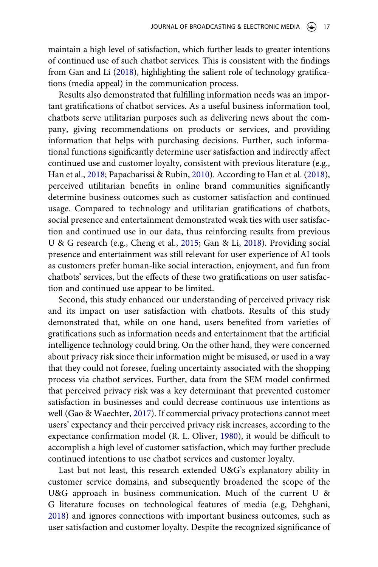maintain a high level of satisfaction, which further leads to greater intentions of continued use of such chatbot services. This is consistent with the findings from Gan and Li [\(2018\)](#page-21-4), highlighting the salient role of technology gratifications (media appeal) in the communication process.

<span id="page-17-0"></span>Results also demonstrated that fulfilling information needs was an important gratifications of chatbot services. As a useful business information tool, chatbots serve utilitarian purposes such as delivering news about the company, giving recommendations on products or services, and providing information that helps with purchasing decisions. Further, such informational functions significantly determine user satisfaction and indirectly affect continued use and customer loyalty, consistent with previous literature (e.g., Han et al., [2018;](#page-21-15) Papacharissi & Rubin, [2010](#page-22-8)). According to Han et al. ([2018](#page-21-15)), perceived utilitarian benefits in online brand communities significantly determine business outcomes such as customer satisfaction and continued usage. Compared to technology and utilitarian gratifications of chatbots, social presence and entertainment demonstrated weak ties with user satisfaction and continued use in our data, thus reinforcing results from previous U & G research (e.g., Cheng et al., [2015;](#page-20-3) Gan & Li, [2018\)](#page-21-4). Providing social presence and entertainment was still relevant for user experience of AI tools as customers prefer human-like social interaction, enjoyment, and fun from chatbots' services, but the effects of these two gratifications on user satisfaction and continued use appear to be limited.

Second, this study enhanced our understanding of perceived privacy risk and its impact on user satisfaction with chatbots. Results of this study demonstrated that, while on one hand, users benefited from varieties of gratifications such as information needs and entertainment that the artificial intelligence technology could bring. On the other hand, they were concerned about privacy risk since their information might be misused, or used in a way that they could not foresee, fueling uncertainty associated with the shopping process via chatbot services. Further, data from the SEM model confirmed that perceived privacy risk was a key determinant that prevented customer satisfaction in businesses and could decrease continuous use intentions as well (Gao & Waechter, [2017\)](#page-21-9). If commercial privacy protections cannot meet users' expectancy and their perceived privacy risk increases, according to the expectance confirmation model (R. L. Oliver, [1980\)](#page-22-5), it would be difficult to accomplish a high level of customer satisfaction, which may further preclude continued intentions to use chatbot services and customer loyalty.

Last but not least, this research extended U&G's explanatory ability in customer service domains, and subsequently broadened the scope of the U&G approach in business communication. Much of the current U & G literature focuses on technological features of media (e.g, Dehghani, [2018](#page-20-11)) and ignores connections with important business outcomes, such as user satisfaction and customer loyalty. Despite the recognized significance of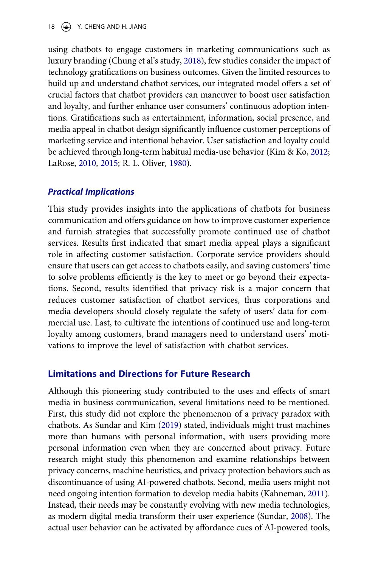using chatbots to engage customers in marketing communications such as luxury branding (Chung et al's study, [2018\)](#page-20-2), few studies consider the impact of technology gratifications on business outcomes. Given the limited resources to build up and understand chatbot services, our integrated model offers a set of crucial factors that chatbot providers can maneuver to boost user satisfaction and loyalty, and further enhance user consumers' continuous adoption intentions. Gratifications such as entertainment, information, social presence, and media appeal in chatbot design significantly influence customer perceptions of marketing service and intentional behavior. User satisfaction and loyalty could be achieved through long-term habitual media-use behavior (Kim & Ko, [2012;](#page-22-12) LaRose, [2010,](#page-22-6) [2015;](#page-22-7) R. L. Oliver, [1980](#page-22-5)).

# *Practical Implications*

This study provides insights into the applications of chatbots for business communication and offers guidance on how to improve customer experience and furnish strategies that successfully promote continued use of chatbot services. Results first indicated that smart media appeal plays a significant role in affecting customer satisfaction. Corporate service providers should ensure that users can get access to chatbots easily, and saving customers' time to solve problems efficiently is the key to meet or go beyond their expectations. Second, results identified that privacy risk is a major concern that reduces customer satisfaction of chatbot services, thus corporations and media developers should closely regulate the safety of users' data for commercial use. Last, to cultivate the intentions of continued use and long-term loyalty among customers, brand managers need to understand users' motivations to improve the level of satisfaction with chatbot services.

# **Limitations and Directions for Future Research**

<span id="page-18-1"></span><span id="page-18-0"></span>Although this pioneering study contributed to the uses and effects of smart media in business communication, several limitations need to be mentioned. First, this study did not explore the phenomenon of a privacy paradox with chatbots. As Sundar and Kim [\(2019\)](#page-23-2) stated, individuals might trust machines more than humans with personal information, with users providing more personal information even when they are concerned about privacy. Future research might study this phenomenon and examine relationships between privacy concerns, machine heuristics, and privacy protection behaviors such as discontinuance of using AI-powered chatbots. Second, media users might not need ongoing intention formation to develop media habits (Kahneman, [2011](#page-22-15)). Instead, their needs may be constantly evolving with new media technologies, as modern digital media transform their user experience (Sundar, [2008\)](#page-23-15). The actual user behavior can be activated by affordance cues of AI-powered tools,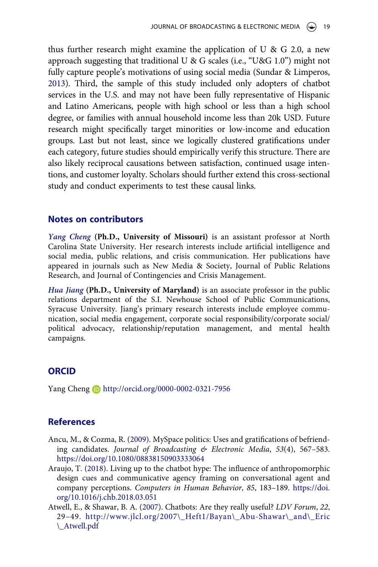thus further research might examine the application of U & G 2.0, a new approach suggesting that traditional U & G scales (i.e., "U&G 1.0") might not fully capture people's motivations of using social media (Sundar & Limperos, [2013\)](#page-23-7). Third, the sample of this study included only adopters of chatbot services in the U.S. and may not have been fully representative of Hispanic and Latino Americans, people with high school or less than a high school degree, or families with annual household income less than 20k USD. Future research might specifically target minorities or low-income and education groups. Last but not least, since we logically clustered gratifications under each category, future studies should empirically verify this structure. There are also likely reciprocal causations between satisfaction, continued usage intentions, and customer loyalty. Scholars should further extend this cross-sectional study and conduct experiments to test these causal links.

# **Notes on contributors**

*Yang Cheng* **(Ph.D., University of Missouri)** is an assistant professor at North Carolina State University. Her research interests include artificial intelligence and social media, public relations, and crisis communication. Her publications have appeared in journals such as New Media & Society, Journal of Public Relations Research, and Journal of Contingencies and Crisis Management.

*Hua Jiang* **(Ph.D., University of Maryland)** is an associate professor in the public relations department of the S.I. Newhouse School of Public Communications, Syracuse University. Jiang's primary research interests include employee communication, social media engagement, corporate social responsibility/corporate social/ political advocacy, relationship/reputation management, and mental health campaigns.

# **ORCID**

Yang Cheng **b** http://orcid.org/0000-0002-0321-7956

# **References**

- <span id="page-19-0"></span>Ancu, M., & Cozma, R. ([2009](#page-2-0)). MySpace politics: Uses and gratifications of befriending candidates. *Journal of Broadcasting & Electronic Media*, *53*(4), 567–583. <https://doi.org/10.1080/08838150903333064>
- <span id="page-19-2"></span>Araujo, T. ([2018](#page-5-0)). Living up to the chatbot hype: The influence of anthropomorphic design cues and communicative agency framing on conversational agent and company perceptions. *Computers in Human Behavior*, *85*, 183–189. [https://doi.](https://doi.org/10.1016/j.chb.2018.03.051) [org/10.1016/j.chb.2018.03.051](https://doi.org/10.1016/j.chb.2018.03.051)
- <span id="page-19-1"></span>Atwell, E., & Shawar, B. A. ([2007\)](#page-4-0). Chatbots: Are they really useful? *LDV Forum*, *22*, 29–49. [http://www.jlcl.org/2007\\\_Heft1/Bayan\\\_Abu-Shawar\\\_and\\\_Eric](http://www.jlcl.org/2007\_Heft1/Bayan\_Abu-Shawar\_and\_Eric\_Atwell.pdf)  [\\\_Atwell.pdf](http://www.jlcl.org/2007\_Heft1/Bayan\_Abu-Shawar\_and\_Eric\_Atwell.pdf)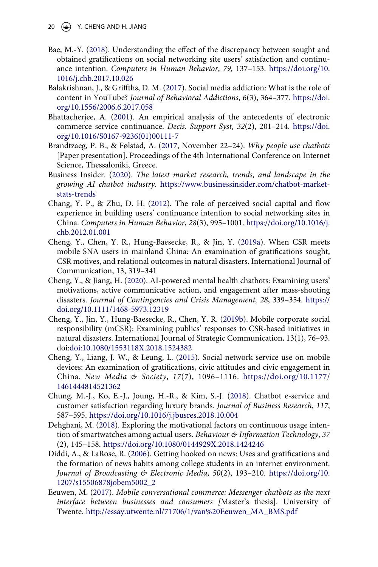- 20  $\left(\rightarrow\right)$  Y. CHENG AND H. JIANG
- <span id="page-20-5"></span>Bae, M.-Y. ([2018](#page-2-1)). Understanding the effect of the discrepancy between sought and obtained gratifications on social networking site users' satisfaction and continuance intention. *Computers in Human Behavior*, *79*, 137–153. [https://doi.org/10.](https://doi.org/10.1016/j.chb.2017.10.026) [1016/j.chb.2017.10.026](https://doi.org/10.1016/j.chb.2017.10.026)
- <span id="page-20-8"></span>Balakrishnan, J., & Griffths, D. M. ([2017\)](#page-3-0). Social media addiction: What is the role of content in YouTube? *Journal of Behavioral Addictions*, *6*(3), 364–377. [https://doi.](https://doi.org/10.1556/2006.6.2017.058) [org/10.1556/2006.6.2017.058](https://doi.org/10.1556/2006.6.2017.058)
- <span id="page-20-13"></span>Bhattacherjee, A. ([2001](#page-8-0)). An empirical analysis of the antecedents of electronic commerce service continuance. *Decis. Support Syst*, *32*(2), 201–214. [https://doi.](https://doi.org/10.1016/S0167-9236(01)00111-7) [org/10.1016/S0167-9236\(01\)00111-7](https://doi.org/10.1016/S0167-9236(01)00111-7)
- <span id="page-20-4"></span>Brandtzaeg, P. B., & Følstad, A. [\(2017,](#page-2-2) November 22–24). *Why people use chatbots*  [Paper presentation]. Proceedings of the 4th International Conference on Internet Science, Thessaloniki, Greece.
- <span id="page-20-1"></span>Business Insider. [\(2020](#page-1-1)). *The latest market research, trends, and landscape in the growing AI chatbot industry*. [https://www.businessinsider.com/chatbot-market](https://www.businessinsider.com/80-of-businesses-want-chatbots-by-2020-2016-12?IR=T)[stats-trends](https://www.businessinsider.com/80-of-businesses-want-chatbots-by-2020-2016-12?IR=T)
- <span id="page-20-12"></span>Chang, Y. P., & Zhu, D. H. ([2012\)](#page-7-0). The role of perceived social capital and flow experience in building users' continuance intention to social networking sites in China. *Computers in Human Behavior*, *28*(3), 995–1001. [https://doi.org/10.1016/j.](https://doi.org/10.1016/j.chb.2012.01.001) [chb.2012.01.001](https://doi.org/10.1016/j.chb.2012.01.001)
- <span id="page-20-7"></span>Cheng, Y., Chen, Y. R., Hung-Baesecke, R., & Jin, Y. [\(2019a\)](#page-3-1). When CSR meets mobile SNA users in mainland China: An examination of gratifications sought, CSR motives, and relational outcomes in natural disasters. International Journal of Communication, 13, 319–341
- <span id="page-20-0"></span>Cheng, Y., & Jiang, H. [\(2020\)](#page-1-1). AI-powered mental health chatbots: Examining users' motivations, active communicative action, and engagement after mass-shooting disasters. *Journal of Contingencies and Crisis Management, 28*, 339–354. [https://](https://doi.org/https://doi.org/10.1111/1468-5973.12319) [doi.org/10.1111/1468-5973.12319](https://doi.org/https://doi.org/10.1111/1468-5973.12319)
- <span id="page-20-9"></span>Cheng, Y., Jin, Y., Hung-Baesecke, R., Chen, Y. R. ([2019b\)](#page-4-1). Mobile corporate social responsibility (mCSR): Examining publics' responses to CSR-based initiatives in natural disasters. International Journal of Strategic Communication, 13(1), 76–93. doi:[doi:10.1080/1553118X.2018.1524382](https://doi.org/doi:10.1080/1553118X.2018.1524382)
- <span id="page-20-3"></span>Cheng, Y., Liang, J. W., & Leung, L. [\(2015\)](#page-2-0). Social network service use on mobile devices: An examination of gratifications, civic attitudes and civic engagement in China. *New Media & Society*, *17*(7), 1096–1116. [https://doi.org/10.1177/](https://doi.org/10.1177/1461444814521362) [1461444814521362](https://doi.org/10.1177/1461444814521362)
- <span id="page-20-2"></span>Chung, M.-J., Ko, E.-J., Joung, H.-R., & Kim, S.-J. [\(2018](#page-2-3)). Chatbot e-service and customer satisfaction regarding luxury brands. *Journal of Business Research*, *117*, 587–595. <https://doi.org/10.1016/j.jbusres.2018.10.004>
- <span id="page-20-11"></span>Dehghani, M. [\(2018](#page-6-0)). Exploring the motivational factors on continuous usage intention of smartwatches among actual users. *Behaviour & Information Technology*, *37*  (2), 145–158. <https://doi.org/10.1080/0144929X.2018.1424246>
- <span id="page-20-6"></span>Diddi, A., & LaRose, R. [\(2006\)](#page-3-2). Getting hooked on news: Uses and gratifications and the formation of news habits among college students in an internet environment. *Journal of Broadcasting & Electronic Media*, *50*(2), 193–210. [https://doi.org/10.](https://doi.org/10.1207/s15506878jobem5002_2) [1207/s15506878jobem5002\\_2](https://doi.org/10.1207/s15506878jobem5002_2)
- <span id="page-20-10"></span>Eeuwen, M. [\(2017\)](#page-5-1). *Mobile conversational commerce: Messenger chatbots as the next interface between businesses and consumers [*Master's thesis]. University of Twente. [http://essay.utwente.nl/71706/1/van%20Eeuwen\\_MA\\_BMS.pdf](http://essay.utwente.nl/71706/1/van%20Eeuwen_MA_BMS.pdf)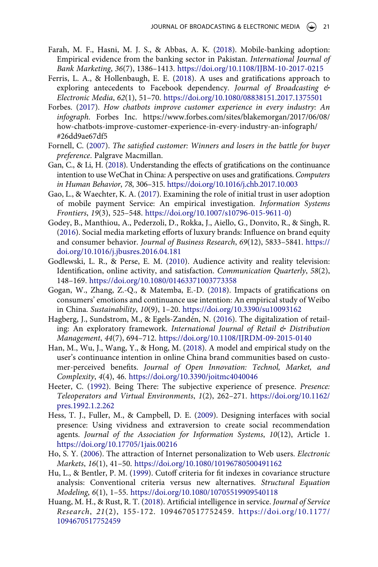- <span id="page-21-10"></span>Farah, M. F., Hasni, M. J. S., & Abbas, A. K. ([2018](#page-6-0)). Mobile-banking adoption: Empirical evidence from the banking sector in Pakistan. *International Journal of Bank Marketing*, *36*(7), 1386–1413. <https://doi.org/10.1108/IJBM-10-2017-0215>
- <span id="page-21-3"></span>Ferris, L. A., & Hollenbaugh, E. E. ([2018\)](#page-3-3). A uses and gratifications approach to exploring antecedents to Facebook dependency. *Journal of Broadcasting & Electronic Media*, *62*(1), 51–70. <https://doi.org/10.1080/08838151.2017.1375501>
- <span id="page-21-2"></span>Forbes. [\(2017\)](#page-2-4). *How chatbots improve customer experience in every industry: An infograph*. Forbes Inc. https://www.forbes.com/sites/blakemorgan/2017/06/08/ how-chatbots-improve-customer-experience-in-every-industry-an-infograph/ #26dd9ae67df5
- <span id="page-21-11"></span>Fornell, C. ([2007](#page-7-1)). *The satisfied customer: Winners and losers in the battle for buyer preference*. Palgrave Macmillan.
- <span id="page-21-4"></span>Gan, C., & Li, H. [\(2018\)](#page-3-0). Understanding the effects of gratifications on the continuance intention to use WeChat in China: A perspective on uses and gratifications. *Computers in Human Behavior*, *78*, 306–315. <https://doi.org/10.1016/j.chb.2017.10.003>
- <span id="page-21-9"></span>Gao, L., & Waechter, K. A. ([2017\)](#page-6-1). Examining the role of initial trust in user adoption of mobile payment Service: An empirical investigation. *Information Systems Frontiers*, *19*(3), 525–548. [https://doi.org/10.1007/s10796-015-9611-0\)](https://doi.org/10.1007/s10796-015-9611-0)
- <span id="page-21-12"></span>Godey, B., Manthiou, A., Pederzoli, D., Rokka, J., Aiello, G., Donvito, R., & Singh, R. [\(2016](#page-7-2)). Social media marketing efforts of luxury brands: Influence on brand equity and consumer behavior. *Journal of Business Research*, *69*(12), 5833–5841. [https://](https://doi.org/10.1016/j.jbusres.2016.04.181) [doi.org/10.1016/j.jbusres.2016.04.181](https://doi.org/10.1016/j.jbusres.2016.04.181)
- <span id="page-21-6"></span>Godlewski, L. R., & Perse, E. M. ([2010](#page-6-2)). Audience activity and reality television: Identification, online activity, and satisfaction. *Communication Quarterly*, *58*(2), 148–169. <https://doi.org/10.1080/01463371003773358>
- <span id="page-21-7"></span>Gogan, W., Zhang, Z.-Q., & Matemba, E.-D. [\(2018\)](#page-6-3). Impacts of gratifications on consumers' emotions and continuance use intention: An empirical study of Weibo in China. *Sustainability*, *10*(9), 1–20. <https://doi.org/10.3390/su10093162>
- <span id="page-21-0"></span>Hagberg, J., Sundstrom, M., & Egels-Zandén, N. [\(2016](#page-1-2)). The digitalization of retailing: An exploratory framework. *International Journal of Retail & Distribution Management*, *44*(7), 694–712. <https://doi.org/10.1108/IJRDM-09-2015-0140>
- <span id="page-21-15"></span>Han, M., Wu, J., Wang, Y., & Hong, M. [\(2018\)](#page-17-0). A model and empirical study on the user's continuance intention in online China brand communities based on customer-perceived benefits. *Journal of Open Innovation: Technol, Market, and Complexity*, *4*(4), 46. <https://doi.org/10.3390/joitmc4040046>
- <span id="page-21-5"></span>Heeter, C. ([1992](#page-5-2)). Being There: The subjective experience of presence. *Presence: Teleoperators and Virtual Environments*, *1*(2), 262–271. [https://doi.org/10.1162/](https://doi.org/10.1162/pres.1992.1.2.262) [pres.1992.1.2.262](https://doi.org/10.1162/pres.1992.1.2.262)
- <span id="page-21-13"></span>Hess, T. J., Fuller, M., & Campbell, D. E. [\(2009\)](#page-8-1). Designing interfaces with social presence: Using vividness and extraversion to create social recommendation agents. *Journal of the Association for Information Systems*, *10*(12), Article 1. <https://doi.org/10.17705/1jais.00216>
- <span id="page-21-8"></span>Ho, S. Y. [\(2006](#page-6-4)). The attraction of Internet personalization to Web users. *Electronic Markets*, *16*(1), 41–50. <https://doi.org/10.1080/10196780500491162>
- <span id="page-21-14"></span>Hu, L., & Bentler, P. M. [\(1999\)](#page-12-0). Cutoff criteria for fit indexes in covariance structure analysis: Conventional criteria versus new alternatives. *Structural Equation Modeling*, *6*(1), 1–55. <https://doi.org/10.1080/10705519909540118>
- <span id="page-21-1"></span>Huang, M. H., & Rust, R. T. ([2018](#page-2-5)). Artificial intelligence in service. *Journal of Service Research*, *21*(2), 155-172. 1094670517752459. [https://doi.org/10.1177/](https://doi.org/10.1177/1094670517752459)  [1094670517752459](https://doi.org/10.1177/1094670517752459)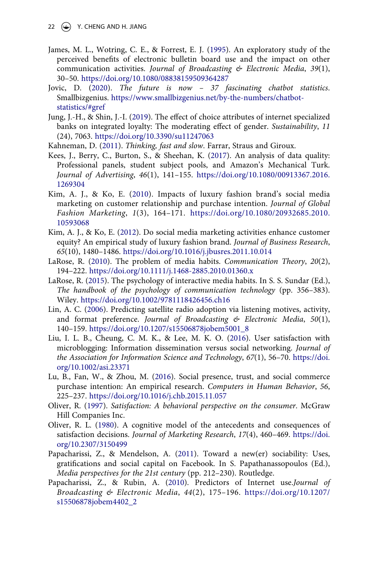- <span id="page-22-4"></span>James, M. L., Wotring, C. E., & Forrest, E. J. ([1995](#page-5-3)). An exploratory study of the perceived benefits of electronic bulletin board use and the impact on other communication activities. *Journal of Broadcasting & Electronic Media*, *39*(1), 30–50. <https://doi.org/10.1080/08838159509364287>
- <span id="page-22-0"></span>Jovic, D. ([2020\)](#page-2-6). *The future is now – 37 fascinating chatbot statistics*. Smallbizgenius. [https://www.smallbizgenius.net/by-the-numbers/chatbot](https://www.smallbizgenius.net/by-the-numbers/chatbot-statistics/#gref)[statistics/#gref](https://www.smallbizgenius.net/by-the-numbers/chatbot-statistics/#gref)
- <span id="page-22-13"></span>Jung, J.-H., & Shin, J.-I. ([2019](#page-8-2)). The effect of choice attributes of internet specialized banks on integrated loyalty: The moderating effect of gender. *Sustainability*, *11*  (24), 7063. <https://doi.org/10.3390/su11247063>
- <span id="page-22-15"></span>Kahneman, D. ([2011](#page-18-0)). *Thinking, fast and slow*. Farrar, Straus and Giroux.
- <span id="page-22-14"></span>Kees, J., Berry, C., Burton, S., & Sheehan, K. ([2017](#page-11-1)). An analysis of data quality: Professional panels, student subject pools, and Amazon's Mechanical Turk. *Journal of Advertising*, *46*(1), 141–155. [https://doi.org/10.1080/00913367.2016.](https://doi.org/10.1080/00913367.2016.1269304) [1269304](https://doi.org/10.1080/00913367.2016.1269304)
- <span id="page-22-11"></span>Kim, A. J., & Ko, E. [\(2010\)](#page-8-3). Impacts of luxury fashion brand's social media marketing on customer relationship and purchase intention. *Journal of Global Fashion Marketing*, *1*(3), 164–171. [https://doi.org/10.1080/20932685.2010.](https://doi.org/10.1080/20932685.2010.10593068) [10593068](https://doi.org/10.1080/20932685.2010.10593068)
- <span id="page-22-12"></span>Kim, A. J., & Ko, E. [\(2012\)](#page-8-3). Do social media marketing activities enhance customer equity? An empirical study of luxury fashion brand. *Journal of Business Research*, *65*(10), 1480–1486. <https://doi.org/10.1016/j.jbusres.2011.10.014>
- <span id="page-22-6"></span>LaRose, R. [\(2010](#page-6-5)). The problem of media habits. *Communication Theory*, *20*(2), 194–222. <https://doi.org/10.1111/j.1468-2885.2010.01360.x>
- <span id="page-22-7"></span>LaRose, R. ([2015](#page-6-5)). The psychology of interactive media habits. In S. S. Sundar (Ed.), *The handbook of the psychology of communication technology (pp. 356–383).* Wiley. <https://doi.org/10.1002/9781118426456.ch16>
- <span id="page-22-2"></span>Lin, A. C. ([2006\)](#page-3-4). Predicting satellite radio adoption via listening motives, activity, and format preference. *Journal of Broadcasting & Electronic Media*, *50*(1), 140–159. [https://doi.org/10.1207/s15506878jobem5001\\_8](https://doi.org/10.1207/s15506878jobem5001_8)
- <span id="page-22-3"></span>Liu, I. L. B., Cheung, C. M. K., & Lee, M. K. O. ([2016\)](#page-4-2). User satisfaction with microblogging: Information dissemination versus social networking. *Journal of the Association for Information Science and Technology*, *67*(1), 56–70. [https://doi.](https://doi.org/10.1002/asi.23371) [org/10.1002/asi.23371](https://doi.org/10.1002/asi.23371)
- <span id="page-22-10"></span>Lu, B., Fan, W., & Zhou, M. [\(2016](#page-8-4)). Social presence, trust, and social commerce purchase intention: An empirical research. *Computers in Human Behavior*, *56*, 225–237. <https://doi.org/10.1016/j.chb.2015.11.057>
- <span id="page-22-9"></span>Oliver, R. [\(1997\)](#page-8-5). *Satisfaction: A behavioral perspective on the consumer*. McGraw Hill Companies Inc.
- <span id="page-22-5"></span>Oliver, R. L. ([1980](#page-6-6)). A cognitive model of the antecedents and consequences of satisfaction decisions. *Journal of Marketing Research*, *17*(4), 460–469. [https://doi.](https://doi.org/10.2307/3150499) [org/10.2307/3150499](https://doi.org/10.2307/3150499)
- <span id="page-22-1"></span>Papacharissi, Z., & Mendelson, A. [\(2011\)](#page-2-0). Toward a new(er) sociability: Uses, gratifications and social capital on Facebook. In S. Papathanassopoulos (Ed.), *Media perspectives for the 21st century* (pp. 212–230). Routledge.
- <span id="page-22-8"></span>Papacharissi, Z., & Rubin, A. [\(2010\)](#page-7-3). Predictors of Internet use.*Journal of Broadcasting & Electronic Media*, *44*(2), 175–196. [https://doi.org/10.1207/](https://doi.org/10.1207/s15506878jobem4402_2) [s15506878jobem4402\\_2](https://doi.org/10.1207/s15506878jobem4402_2)